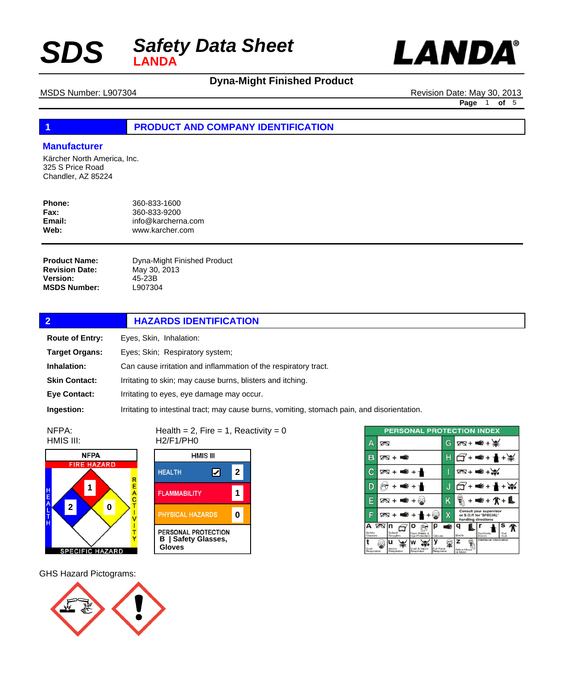



# **Dyna-Might Finished Product**

MSDS Number: L907304 Revision Date: May 30, 2013 **Page** 1 **of** 5

### **1 PRODUCT AND COMPANY IDENTIFICATION**

### **Manufacturer**

Kärcher North America, Inc. 325 S Price Road Chandler, AZ 85224

| Phone:      | 360-833-1600       |
|-------------|--------------------|
| <b>Fax:</b> | 360-833-9200       |
| Email:      | info@karcherna.com |
| Web:        | www.karcher.com    |

Dyna-Might Finished Product May 30, 2013 45-23B L907304 **Product Name: Revision Date: Version: MSDS Number:**

| $\overline{2}$         | <b>HAZARDS IDENTIFICATION</b>                                                                |  |
|------------------------|----------------------------------------------------------------------------------------------|--|
| <b>Route of Entry:</b> | Eyes, Skin, Inhalation:                                                                      |  |
| <b>Target Organs:</b>  | Eyes; Skin; Respiratory system;                                                              |  |
| Inhalation:            | Can cause irritation and inflammation of the respiratory tract.                              |  |
| <b>Skin Contact:</b>   | Irritating to skin; may cause burns, blisters and itching.                                   |  |
| <b>Eye Contact:</b>    | Irritating to eyes, eye damage may occur.                                                    |  |
| Ingestion:             | Irritating to intestinal tract; may cause burns, vomiting, stomach pain, and disorientation. |  |

NFPA: HMIS III:



Health =  $2$ , Fire =  $1$ , Reactivity =  $0$ H2/F1/PH0 **HMIS III** 



| <b>PERSONAL PROTECTION INDEX</b> |   |                          |                                 |                         |   |                              |         |                                                                           |              |  |
|----------------------------------|---|--------------------------|---------------------------------|-------------------------|---|------------------------------|---------|---------------------------------------------------------------------------|--------------|--|
| А                                | ∞ |                          |                                 |                         | G |                              |         | $78 + 4 + 36$                                                             |              |  |
| в                                |   | ळ + ≢                    |                                 |                         |   |                              | +≢€+1⊪+ |                                                                           |              |  |
| È                                |   | क्र + ≢ + ≁              |                                 |                         |   |                              |         | $78 + 48$                                                                 |              |  |
| D                                |   |                          | ⋹∔≁                             |                         | J |                              |         | +nn≨+n <mark>n</mark> n                                                   |              |  |
|                                  |   | ⊠ + ■ + ⊗                |                                 |                         | Κ |                              |         | + <del>≤</del> + ∕(* + L                                                  |              |  |
|                                  |   |                          | $78 + 4 + 1$                    |                         | Х |                              |         | Consult your supervisor<br>or S.O.P. for "SPECIAL"<br>handling directions |              |  |
| А<br>Safety<br>Glasses           | ∞ | In<br>Splash<br>Goggles  | Face Shield &<br>Eve Protection | Gloves                  | É | Boots                        |         | Synthetic<br>Apron                                                        | Full<br>Suit |  |
| Dust<br>Respirator               |   | u<br>Vapor<br>Respirator | Dust & Vapor<br>Regoirator      | Full Face<br>Respirator |   | z<br>Airline Hood<br>or Mask |         | Additional Information                                                    |              |  |

GHS Hazard Pictograms:

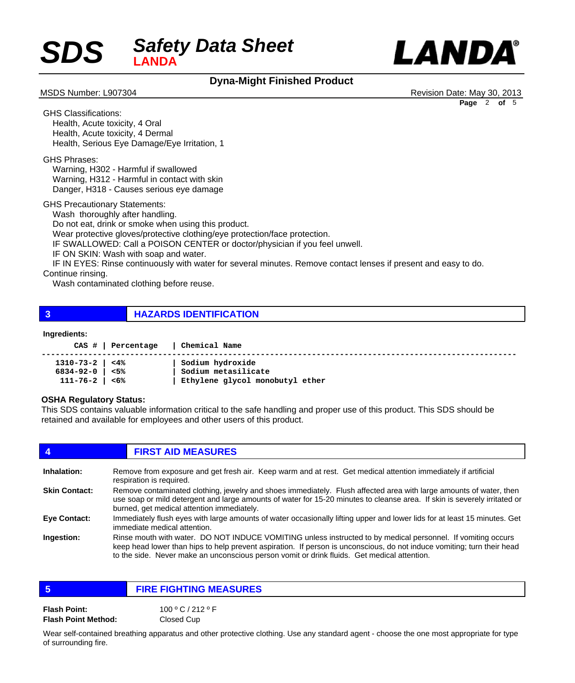# *Safety Data Sheet*  $SDS$



# **Dyna-Might Finished Product**

MSDS Number: L907304 **Revision Date: May 30, 2013 Page** 2 **of** 5

GHS Classifications: Health, Acute toxicity, 4 Oral Health, Acute toxicity, 4 Dermal Health, Serious Eye Damage/Eye Irritation, 1

GHS Phrases:

 Warning, H302 - Harmful if swallowed Warning, H312 - Harmful in contact with skin Danger, H318 - Causes serious eye damage

GHS Precautionary Statements:

Wash thoroughly after handling.

 Do not eat, drink or smoke when using this product.

 Wear protective gloves/protective clothing/eye protection/face protection.

 IF SWALLOWED: Call a POISON CENTER or doctor/physician if you feel unwell.

 IF ON SKIN: Wash with soap and water.

 IF IN EYES: Rinse continuously with water for several minutes. Remove contact lenses if present and easy to do.

Continue rinsing.

 Wash contaminated clothing before reuse.

**3 HAZARDS IDENTIFICATION**

### **Ingredients:**

|                       | CAS #   Percentage | Chemical Name                   |
|-----------------------|--------------------|---------------------------------|
| $1310 - 73 - 2$   <4% |                    | Sodium hydroxide                |
| 6834-92-0   <5%       |                    | Sodium metasilicate             |
| 111-76-2   <6%        |                    | Ethylene glycol monobutyl ether |

### **OSHA Regulatory Status:**

This SDS contains valuable information critical to the safe handling and proper use of this product. This SDS should be retained and available for employees and other users of this product.

| 4                    | <b>FIRST AID MEASURES</b>                                                                                                                                                                                                                                                                                                              |
|----------------------|----------------------------------------------------------------------------------------------------------------------------------------------------------------------------------------------------------------------------------------------------------------------------------------------------------------------------------------|
| Inhalation:          | Remove from exposure and get fresh air. Keep warm and at rest. Get medical attention immediately if artificial<br>respiration is required.                                                                                                                                                                                             |
| <b>Skin Contact:</b> | Remove contaminated clothing, jewelry and shoes immediately. Flush affected area with large amounts of water, then<br>use soap or mild detergent and large amounts of water for 15-20 minutes to cleanse area. If skin is severely irritated or<br>burned, get medical attention immediately.                                          |
| Eye Contact:         | Immediately flush eyes with large amounts of water occasionally lifting upper and lower lids for at least 15 minutes. Get<br>immediate medical attention.                                                                                                                                                                              |
| Ingestion:           | Rinse mouth with water. DO NOT INDUCE VOMITING unless instructed to by medical personnel. If vomiting occurs<br>keep head lower than hips to help prevent aspiration. If person is unconscious, do not induce vomiting; turn their head<br>to the side. Never make an unconscious person vomit or drink fluids. Get medical attention. |

| -5                         | <b>FIRE FIGHTING MEASURES</b> |  |  |  |
|----------------------------|-------------------------------|--|--|--|
| <b>Flash Point:</b>        | 100°C/212°F                   |  |  |  |
| <b>Flash Point Method:</b> | Closed Cup                    |  |  |  |

Wear self-contained breathing apparatus and other protective clothing. Use any standard agent - choose the one most appropriate for type of surrounding fire.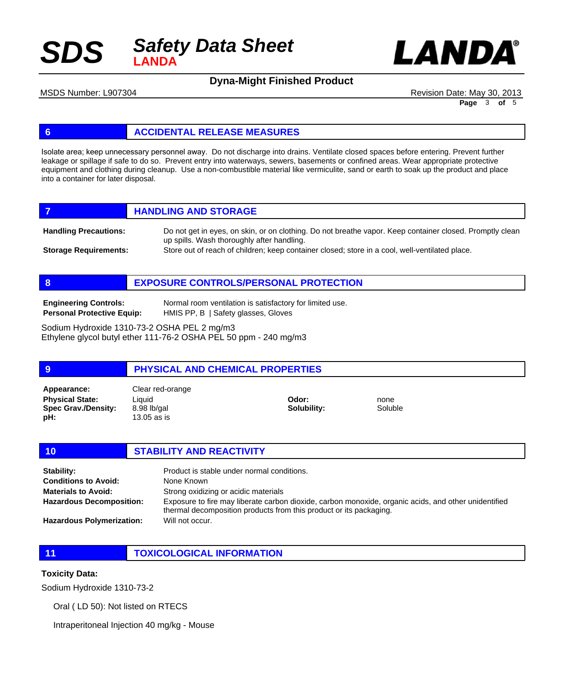



**Dyna-Might Finished Product**

MSDS Number: L907304 **Revision Date: May 30, 2013** Revision Date: May 30, 2013

**Page** 3 **of** 5

### **6 ACCIDENTAL RELEASE MEASURES**

Isolate area; keep unnecessary personnel away. Do not discharge into drains. Ventilate closed spaces before entering. Prevent further leakage or spillage if safe to do so. Prevent entry into waterways, sewers, basements or confined areas. Wear appropriate protective equipment and clothing during cleanup. Use a non-combustible material like vermiculite, sand or earth to soak up the product and place into a container for later disposal.

|                              | <b>HANDLING AND STORAGE</b>                                                                                                                            |
|------------------------------|--------------------------------------------------------------------------------------------------------------------------------------------------------|
| <b>Handling Precautions:</b> | Do not get in eyes, on skin, or on clothing. Do not breathe vapor. Keep container closed. Promptly clean<br>up spills. Wash thoroughly after handling. |

Store out of reach of children; keep container closed; store in a cool, well-ventilated place. **Storage Requirements:**

**8 EXPOSURE CONTROLS/PERSONAL PROTECTION**

**Engineering Controls: Personal Protective Equip:** Normal room ventilation is satisfactory for limited use. HMIS PP, B | Safety glasses, Gloves

Sodium Hydroxide 1310-73-2 OSHA PEL 2 mg/m3 Ethylene glycol butyl ether 111-76-2 OSHA PEL 50 ppm - 240 mg/m3

### **9 PHYSICAL AND CHEMICAL PROPERTIES**

**Physical State: Spec Grav./Density: pH: Appearance:** Clear red-orange

Liquid 8.98 lb/gal 13.05 as is

**Odor: Solubility:** none Soluble

**10 STABILITY AND REACTIVITY** Product is stable under normal conditions. None Known Strong oxidizing or acidic materials Exposure to fire may liberate carbon dioxide, carbon monoxide, organic acids, and other unidentified **Stability: Conditions to Avoid: Materials to Avoid: Hazardous Decomposition:**

thermal decomposition products from this product or its packaging. Will not occur.

**Hazardous Polymerization:**

**11 TOXICOLOGICAL INFORMATION**

### **Toxicity Data:**

Sodium Hydroxide 1310-73-2

Oral ( LD 50): Not listed on RTECS

Intraperitoneal Injection 40 mg/kg - Mouse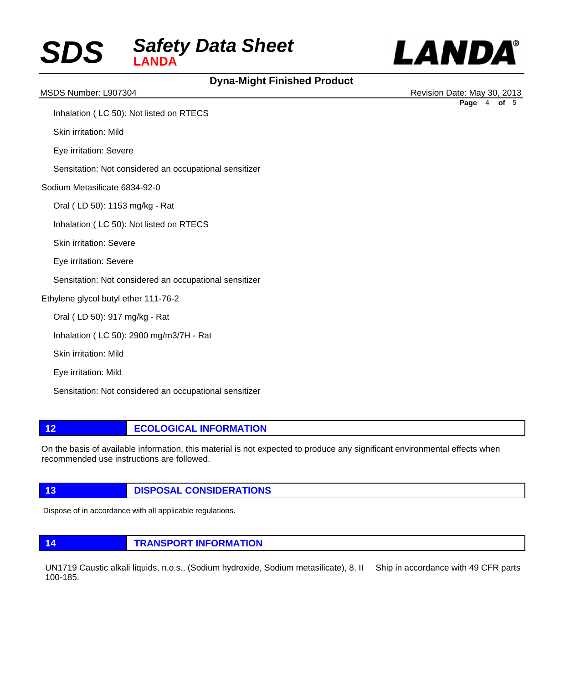



# **Dyna-Might Finished Product**

MSDS Number: L907304 **Revision Date: May 30, 2013** Revision Date: May 30, 2013 **Page** 4 **of** 5

Inhalation ( LC 50): Not listed on RTECS

Skin irritation: Mild

Eye irritation: Severe

Sensitation: Not considered an occupational sensitizer

Sodium Metasilicate 6834-92-0

Oral ( LD 50): 1153 mg/kg - Rat

Inhalation ( LC 50): Not listed on RTECS

Skin irritation: Severe

Eye irritation: Severe

Sensitation: Not considered an occupational sensitizer

Ethylene glycol butyl ether 111-76-2

Oral ( LD 50): 917 mg/kg - Rat

Inhalation ( LC 50): 2900 mg/m3/7H - Rat

Skin irritation: Mild

Eye irritation: Mild

Sensitation: Not considered an occupational sensitizer

### **12 ECOLOGICAL INFORMATION**

On the basis of available information, this material is not expected to produce any significant environmental effects when recommended use instructions are followed.

### **13 DISPOSAL CONSIDERATIONS**

Dispose of in accordance with all applicable regulations.

**14 TRANSPORT INFORMATION**

UN1719 Caustic alkali liquids, n.o.s., (Sodium hydroxide, Sodium metasilicate), 8, II Ship in accordance with 49 CFR parts 100-185.